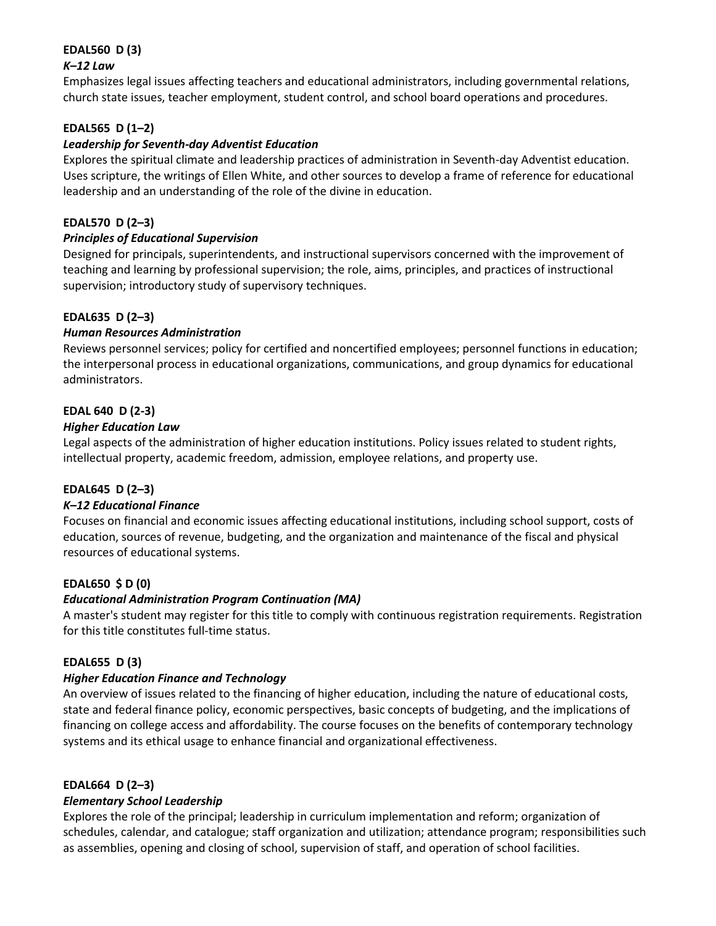# **EDAL560 D (3)**

## *K–12 Law*

Emphasizes legal issues affecting teachers and educational administrators, including governmental relations, church state issues, teacher employment, student control, and school board operations and procedures.

# **EDAL565 D (1–2)**

## *Leadership for Seventh-day Adventist Education*

Explores the spiritual climate and leadership practices of administration in Seventh-day Adventist education. Uses scripture, the writings of Ellen White, and other sources to develop a frame of reference for educational leadership and an understanding of the role of the divine in education.

## **EDAL570 D (2–3)**

#### *Principles of Educational Supervision*

Designed for principals, superintendents, and instructional supervisors concerned with the improvement of teaching and learning by professional supervision; the role, aims, principles, and practices of instructional supervision; introductory study of supervisory techniques.

#### **EDAL635 D (2–3)**

#### *Human Resources Administration*

Reviews personnel services; policy for certified and noncertified employees; personnel functions in education; the interpersonal process in educational organizations, communications, and group dynamics for educational administrators.

#### **EDAL 640 D (2-3)**

#### *Higher Education Law*

Legal aspects of the administration of higher education institutions. Policy issues related to student rights, intellectual property, academic freedom, admission, employee relations, and property use.

#### **EDAL645 D (2–3)**

#### *K–12 Educational Finance*

Focuses on financial and economic issues affecting educational institutions, including school support, costs of education, sources of revenue, budgeting, and the organization and maintenance of the fiscal and physical resources of educational systems.

#### **EDAL650 \$ D (0)**

#### *Educational Administration Program Continuation (MA)*

A master's student may register for this title to comply with continuous registration requirements. Registration for this title constitutes full-time status.

#### **EDAL655 D (3)**

#### *Higher Education Finance and Technology*

An overview of issues related to the financing of higher education, including the nature of educational costs, state and federal finance policy, economic perspectives, basic concepts of budgeting, and the implications of financing on college access and affordability. The course focuses on the benefits of contemporary technology systems and its ethical usage to enhance financial and organizational effectiveness.

#### **EDAL664 D (2–3)**

#### *Elementary School Leadership*

Explores the role of the principal; leadership in curriculum implementation and reform; organization of schedules, calendar, and catalogue; staff organization and utilization; attendance program; responsibilities such as assemblies, opening and closing of school, supervision of staff, and operation of school facilities.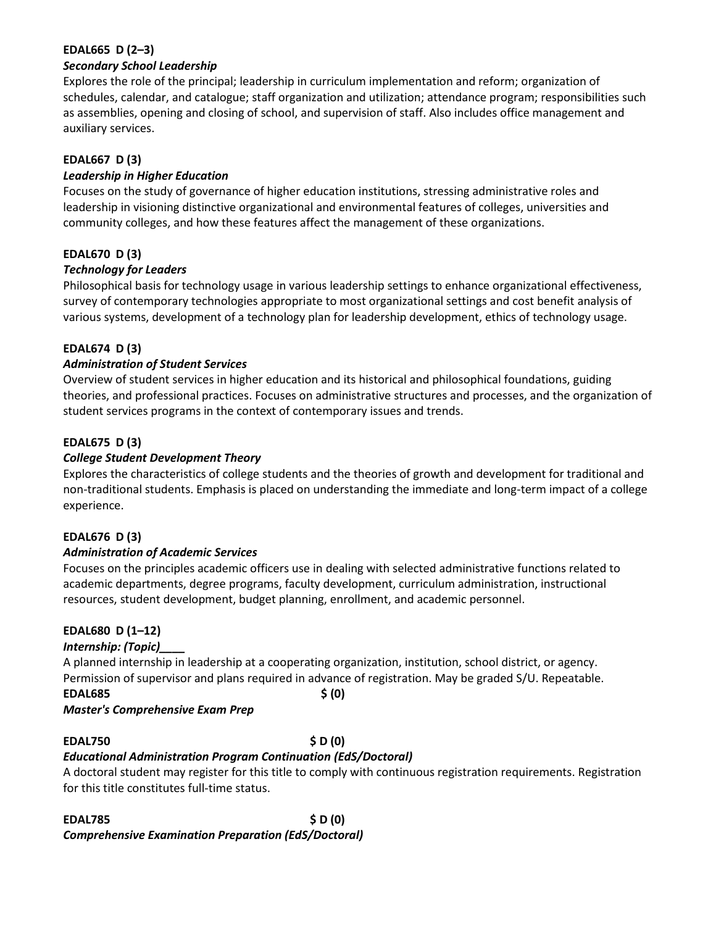## **EDAL665 D (2–3)**

#### *Secondary School Leadership*

Explores the role of the principal; leadership in curriculum implementation and reform; organization of schedules, calendar, and catalogue; staff organization and utilization; attendance program; responsibilities such as assemblies, opening and closing of school, and supervision of staff. Also includes office management and auxiliary services.

## **EDAL667 D (3)**

#### *Leadership in Higher Education*

Focuses on the study of governance of higher education institutions, stressing administrative roles and leadership in visioning distinctive organizational and environmental features of colleges, universities and community colleges, and how these features affect the management of these organizations.

#### **EDAL670 D (3)**

#### *Technology for Leaders*

Philosophical basis for technology usage in various leadership settings to enhance organizational effectiveness, survey of contemporary technologies appropriate to most organizational settings and cost benefit analysis of various systems, development of a technology plan for leadership development, ethics of technology usage.

#### **EDAL674 D (3)**

#### *Administration of Student Services*

Overview of student services in higher education and its historical and philosophical foundations, guiding theories, and professional practices. Focuses on administrative structures and processes, and the organization of student services programs in the context of contemporary issues and trends.

#### **EDAL675 D (3)**

#### *College Student Development Theory*

Explores the characteristics of college students and the theories of growth and development for traditional and non-traditional students. Emphasis is placed on understanding the immediate and long-term impact of a college experience.

#### **EDAL676 D (3)**

#### *Administration of Academic Services*

Focuses on the principles academic officers use in dealing with selected administrative functions related to academic departments, degree programs, faculty development, curriculum administration, instructional resources, student development, budget planning, enrollment, and academic personnel.

#### **EDAL680 D (1–12)**

#### *Internship: (Topic)\_\_\_\_*

A planned internship in leadership at a cooperating organization, institution, school district, or agency. Permission of supervisor and plans required in advance of registration. May be graded S/U. Repeatable. **EDAL685 \$ (0)**

#### *Master's Comprehensive Exam Prep*

#### **EDAL750 \$ D (0)**

## *Educational Administration Program Continuation (EdS/Doctoral)*

A doctoral student may register for this title to comply with continuous registration requirements. Registration for this title constitutes full-time status.

#### **EDAL785 \$ D (0)** *Comprehensive Examination Preparation (EdS/Doctoral)*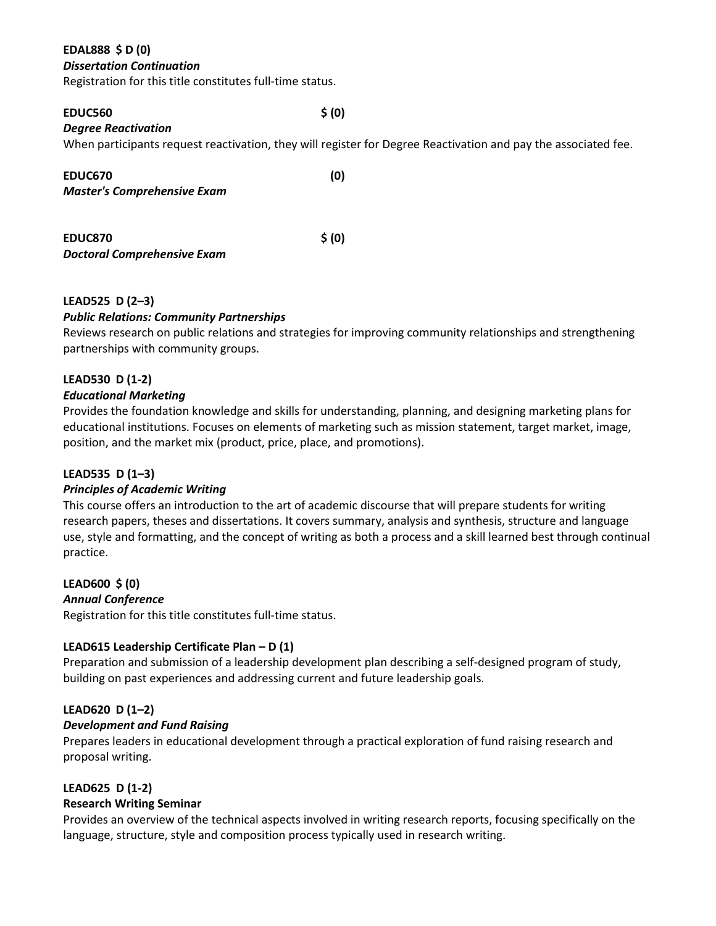## **EDAL888 \$ D (0)**

#### *Dissertation Continuation*

Registration for this title constitutes full-time status.

#### **EDUC560 \$ (0)**

## *Degree Reactivation*

When participants request reactivation, they will register for Degree Reactivation and pay the associated fee.

| EDUC670                            | (0)    |
|------------------------------------|--------|
| <b>Master's Comprehensive Exam</b> |        |
|                                    |        |
| EDUC870                            | \$ (0) |

*Doctoral Comprehensive Exam*

#### **LEAD525 D (2–3)**

#### *Public Relations: Community Partnerships*

Reviews research on public relations and strategies for improving community relationships and strengthening partnerships with community groups.

#### **LEAD530 D (1-2)**

#### *Educational Marketing*

Provides the foundation knowledge and skills for understanding, planning, and designing marketing plans for educational institutions. Focuses on elements of marketing such as mission statement, target market, image, position, and the market mix (product, price, place, and promotions).

## **LEAD535 D (1–3)**

## *Principles of Academic Writing*

This course offers an introduction to the art of academic discourse that will prepare students for writing research papers, theses and dissertations. It covers summary, analysis and synthesis, structure and language use, style and formatting, and the concept of writing as both a process and a skill learned best through continual practice.

# **LEAD600 \$ (0)**

#### *Annual Conference*

Registration for this title constitutes full-time status.

#### **LEAD615 Leadership Certificate Plan – D (1)**

Preparation and submission of a leadership development plan describing a self-designed program of study, building on past experiences and addressing current and future leadership goals.

#### **LEAD620 D (1–2)**

#### *Development and Fund Raising*

Prepares leaders in educational development through a practical exploration of fund raising research and proposal writing.

#### **LEAD625 D (1-2)**

#### **Research Writing Seminar**

Provides an overview of the technical aspects involved in writing research reports, focusing specifically on the language, structure, style and composition process typically used in research writing.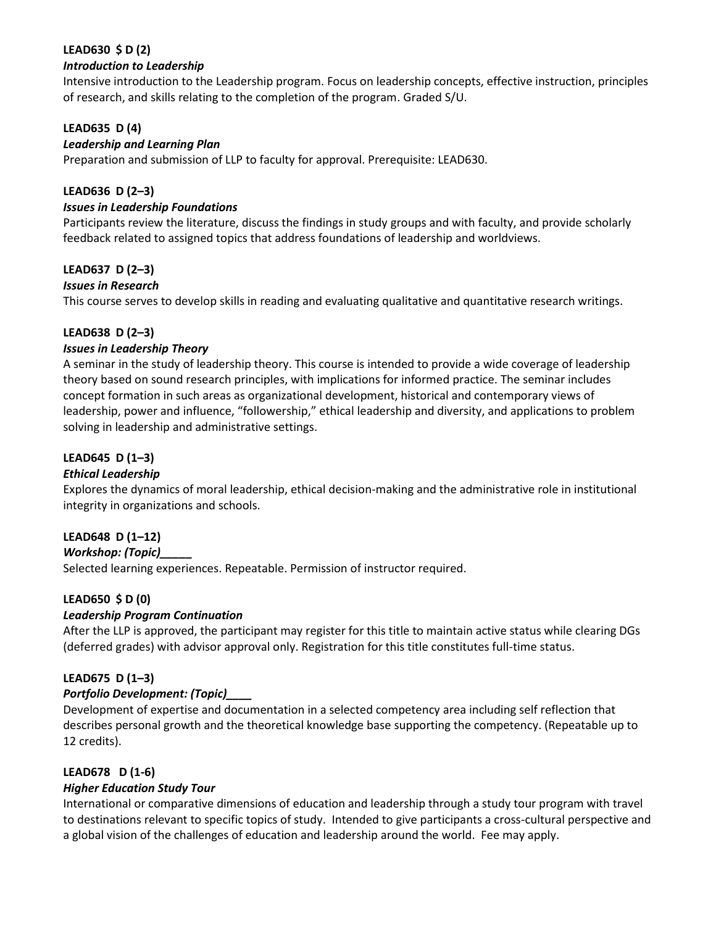## **LEAD630 \$ D (2)**

#### *Introduction to Leadership*

Intensive introduction to the Leadership program. Focus on leadership concepts, effective instruction, principles of research, and skills relating to the completion of the program. Graded S/U.

## **LEAD635 D (4)**

#### *Leadership and Learning Plan*

Preparation and submission of LLP to faculty for approval. Prerequisite: LEAD630.

## **LEAD636 D (2–3)**

### *Issues in Leadership Foundations*

Participants review the literature, discuss the findings in study groups and with faculty, and provide scholarly feedback related to assigned topics that address foundations of leadership and worldviews.

#### **LEAD637 D (2–3)**

#### *Issues in Research*

This course serves to develop skills in reading and evaluating qualitative and quantitative research writings.

#### **LEAD638 D (2–3)**

#### *Issues in Leadership Theory*

A seminar in the study of leadership theory. This course is intended to provide a wide coverage of leadership theory based on sound research principles, with implications for informed practice. The seminar includes concept formation in such areas as organizational development, historical and contemporary views of leadership, power and influence, "followership," ethical leadership and diversity, and applications to problem solving in leadership and administrative settings.

## **LEAD645 D (1–3)**

## *Ethical Leadership*

Explores the dynamics of moral leadership, ethical decision-making and the administrative role in institutional integrity in organizations and schools.

## **LEAD648 D (1–12)**

*Workshop: (Topic)\_\_\_\_\_*

Selected learning experiences. Repeatable. Permission of instructor required.

## **LEAD650 \$ D (0)**

## *Leadership Program Continuation*

After the LLP is approved, the participant may register for this title to maintain active status while clearing DGs (deferred grades) with advisor approval only. Registration for this title constitutes full-time status.

## **LEAD675 D (1–3)**

#### *Portfolio Development: (Topic)\_\_\_\_*

Development of expertise and documentation in a selected competency area including self reflection that describes personal growth and the theoretical knowledge base supporting the competency. (Repeatable up to 12 credits).

## **LEAD678 D (1-6)**

#### *Higher Education Study Tour*

International or comparative dimensions of education and leadership through a study tour program with travel to destinations relevant to specific topics of study. Intended to give participants a cross-cultural perspective and a global vision of the challenges of education and leadership around the world. Fee may apply.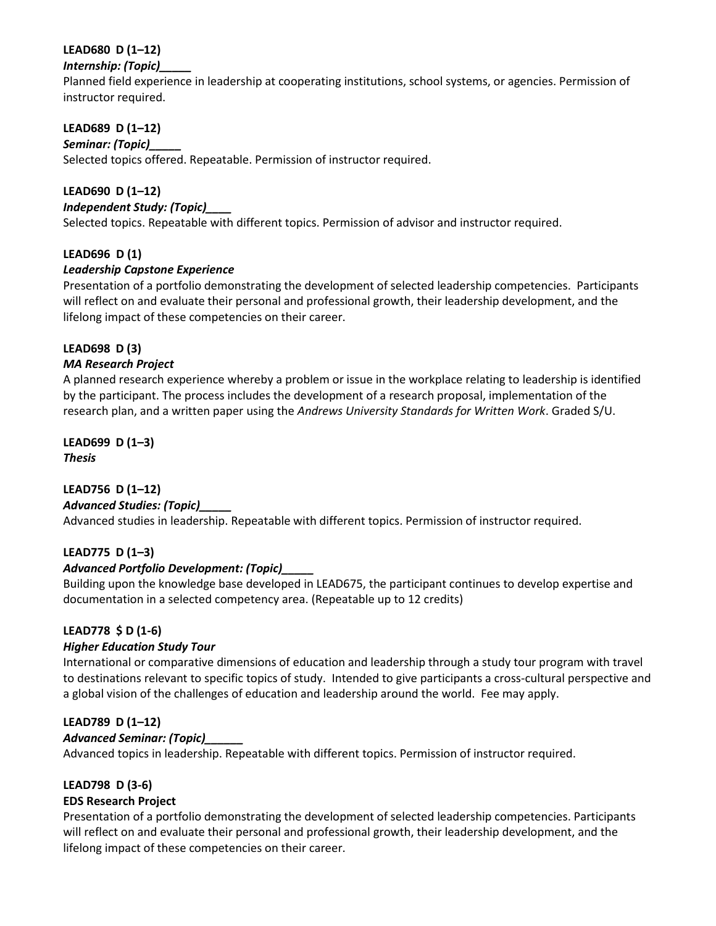# **LEAD680 D (1–12)**

# *Internship: (Topic)\_\_\_\_\_*

Planned field experience in leadership at cooperating institutions, school systems, or agencies. Permission of instructor required.

# **LEAD689 D (1–12)**

## *Seminar: (Topic)\_\_\_\_\_*

Selected topics offered. Repeatable. Permission of instructor required.

# **LEAD690 D (1–12)**

# *Independent Study: (Topic)\_\_\_\_*

Selected topics. Repeatable with different topics. Permission of advisor and instructor required.

# **LEAD696 D (1)**

# *Leadership Capstone Experience*

Presentation of a portfolio demonstrating the development of selected leadership competencies. Participants will reflect on and evaluate their personal and professional growth, their leadership development, and the lifelong impact of these competencies on their career.

## **LEAD698 D (3)**

## *MA Research Project*

A planned research experience whereby a problem or issue in the workplace relating to leadership is identified by the participant. The process includes the development of a research proposal, implementation of the research plan, and a written paper using the *Andrews University Standards for Written Work*. Graded S/U.

#### **LEAD699 D (1–3)** *Thesis*

## **LEAD756 D (1–12)**

## *Advanced Studies: (Topic)\_\_\_\_\_*

Advanced studies in leadership. Repeatable with different topics. Permission of instructor required.

## **LEAD775 D (1–3)**

## *Advanced Portfolio Development: (Topic)\_\_\_\_\_*

Building upon the knowledge base developed in LEAD675, the participant continues to develop expertise and documentation in a selected competency area. (Repeatable up to 12 credits)

## **LEAD778 \$ D (1-6)**

## *Higher Education Study Tour*

International or comparative dimensions of education and leadership through a study tour program with travel to destinations relevant to specific topics of study. Intended to give participants a cross-cultural perspective and a global vision of the challenges of education and leadership around the world. Fee may apply.

## **LEAD789 D (1–12)**

## *Advanced Seminar: (Topic)\_\_\_\_\_\_*

Advanced topics in leadership. Repeatable with different topics. Permission of instructor required.

## **LEAD798 D (3-6)**

## **EDS Research Project**

Presentation of a portfolio demonstrating the development of selected leadership competencies. Participants will reflect on and evaluate their personal and professional growth, their leadership development, and the lifelong impact of these competencies on their career.